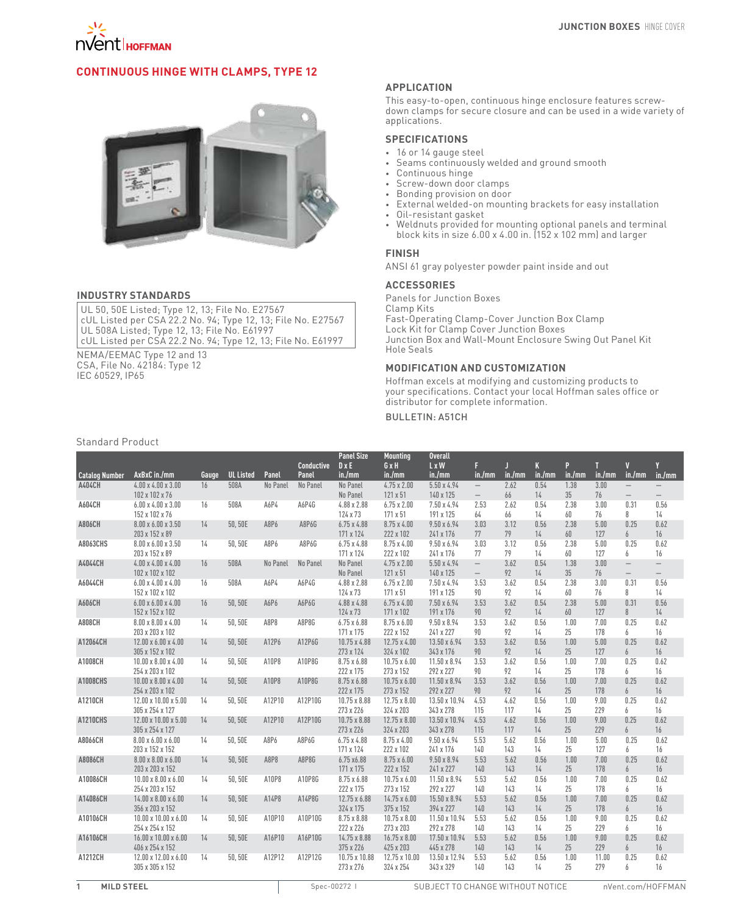

# **Continuous Hinge with Clamps, Type 12**



### **INDUSTRY STANDARDS**

UL 50, 50E Listed; Type 12, 13; File No. E27567 cUL Listed per CSA 22.2 No. 94; Type 12, 13; File No. E27567 UL 508A Listed; Type 12, 13; File No. E61997 cUL Listed per CSA 22.2 No. 94; Type 12, 13; File No. E61997

NEMA/EEMAC Type 12 and 13 CSA, File No. 42184: Type 12 IEC 60529, IP65

### **APPLICATION**

This easy-to-open, continuous hinge enclosure features screwdown clamps for secure closure and can be used in a wide variety of applications.

# **SPECIFICATIONS**

- • 16 or 14 gauge steel
- • Seams continuously welded and ground smooth
- • Continuous hinge
- Screw-down door clamps
- Bonding provision on door
- External welded-on mounting brackets for easy installation
- • Oil-resistant gasket
- Weldnuts provided for mounting optional panels and terminal block kits in size 6.00 x 4.00 in. (152 x 102 mm) and larger

# **FINISH**

ANSI 61 gray polyester powder paint inside and out

## **ACCESSORIES**

Panels for Junction Boxes Clamp Kits Fast-Operating Clamp-Cover Junction Box Clamp Lock Kit for Clamp Cover Junction Boxes Junction Box and Wall-Mount Enclosure Swing Out Panel Kit Hole Seals

### **MODIFICATION AND CUSTOMIZATION**

Hoffman excels at modifying and customizing products to your specifications. Contact your local Hoffman sales office or distributor for complete information.

### Bulletin: A51CH

#### Standard Product

|                       |                                                     |       |                  |          |            | <b>Panel Size</b>               | <b>Mounting</b>                  | <b>Overall</b>                  |                                                      |             |                      |            |              |                                               |                          |
|-----------------------|-----------------------------------------------------|-------|------------------|----------|------------|---------------------------------|----------------------------------|---------------------------------|------------------------------------------------------|-------------|----------------------|------------|--------------|-----------------------------------------------|--------------------------|
|                       |                                                     |       |                  |          | Conductive | $D \times E$                    | GxH                              | L x W                           | F                                                    | П           | K                    | P          | T            | $\overline{\mathsf{v}}$                       | V                        |
| <b>Catalog Number</b> | AxBxC in./mm                                        | Gauge | <b>UL Listed</b> | Panel    | Panel      | in./mm                          | in./mm                           | in./mm                          | in./mm                                               | in./mm      | in./mm               | in./mm     | in./mm       | in./mm                                        | in./mm                   |
| <b>A404CH</b>         | $4.00 \times 4.00 \times 3.00$<br>102 x 102 x 76    | 16    | 508A             | No Panel | No Panel   | No Panel<br>No Panel            | $4.75 \times 2.00$<br>121 x 51   | 5.50 x 4.94<br>140 x 125        | $\overline{\phantom{0}}$<br>$\overline{\phantom{m}}$ | 2.62<br>66  | 0.54<br>14           | 1.38<br>35 | 3.00<br>76   | $\overline{\phantom{0}}$<br>$\qquad \qquad -$ |                          |
| A604CH                | $6.00 \times 4.00 \times 3.00$<br>152 x 102 x 76    | 16    | 508A             | A6P4     | A6P4G      | 4.88 x 2.88<br>124 x 73         | $6.75 \times 2.00$<br>171 x 51   | 7.50 x 4.94<br>191 x 125        | 2.53<br>64                                           | 2.62<br>66  | 0.54<br>14           | 2.38<br>60 | 3.00<br>76   | 0.31<br>8                                     | 0.56<br>14               |
| A806CH                | 8.00 x 6.00 x 3.50<br>203 x 152 x 89                | 14    | 50,50E           | A8P6     | A8P6G      | $6.75 \times 4.88$<br>171 x 124 | $8.75 \times 4.00$<br>222 x 102  | $9.50 \times 6.94$<br>241 x 176 | 3.03<br>77                                           | 3.12<br>79  | 0.56<br>14           | 2.38<br>60 | 5.00<br>127  | 0.25<br>6                                     | 0.62<br>16               |
| <b>A8063CHS</b>       | 8.00 x 6.00 x 3.50<br>203 x 152 x 89                | 14    | 50.50E           | A8P6     | A8P6G      | $6.75 \times 4.88$<br>171 x 124 | $8.75 \times 4.00$<br>222 x 102  | $9.50 \times 6.94$<br>241 x 176 | 3.03<br>77                                           | 3.12<br>79  | 0.56<br>14           | 2.38<br>60 | 5.00<br>127  | 0.25<br>6                                     | 0.62<br>16               |
| A4044CH               | $4.00 \times 4.00 \times 4.00$<br>102 x 102 x 102   | 16    | 508A             | No Panel | No Panel   | No Panel<br>No Panel            | $4.75 \times 2.00$<br>121 x 51   | $5.50 \times 4.94$<br>140 x 125 | $\overline{\phantom{0}}$<br>$\overline{\phantom{0}}$ | 3.62<br>92  | 0.54<br>14           | 1.38<br>35 | 3.00<br>76   | $\equiv$<br>$-$                               | $\overline{\phantom{0}}$ |
| A6044CH               | $6.00 \times 4.00 \times 4.00$<br>152 x 102 x 102   | 16    | 508A             | A6P4     | A6P4G      | $4.88 \times 2.88$<br>124 x 73  | $6.75 \times 2.00$<br>171 x 51   | 7.50 x 4.94<br>191 x 125        | 3.53<br>90                                           | 3.62<br>92  | 0.54<br>14           | 2.38<br>60 | 3.00<br>76   | 0.31<br>8                                     | 0.56<br>14               |
| A606CH                | $6.00 \times 6.00 \times 4.00$<br>152 x 152 x 102   | 16    | 50.50E           | A6P6     | A6P6G      | 4.88 x 4.88<br>124 x 73         | $6.75 \times 4.00$<br>171 x 102  | 7.50 x 6.94<br>191 x 176        | 3.53<br>90                                           | 3.62<br>92  | 0.54<br>14           | 2.38<br>60 | 5.00<br>127  | 0.31<br>8                                     | 0.56<br>14               |
| <b>A808CH</b>         | $8.00 \times 8.00 \times 4.00$<br>203 x 203 x 102   | 14    | 50,50E           | A8P8     | A8P8G      | $6.75 \times 6.88$<br>171 x 175 | $8.75 \times 6.00$<br>222 x 152  | $9.50 \times 8.94$<br>241 x 227 | 3.53<br>90                                           | 3.62<br>92  | 0.56<br>14           | 1.00<br>25 | 7.00<br>178  | 0.25<br>6                                     | 0.62<br>16               |
| A12064CH              | $12.00 \times 6.00 \times 4.00$<br>305 x 152 x 102  | 14    | 50.50E           | A12P6    | A12P6G     | 10.75 x 4.88<br>273 x 124       | $12.75 \times 4.00$<br>324 x 102 | 13.50 x 6.94<br>343 x 176       | 3.53<br>90                                           | 3.62<br>92  | 0.56<br>14           | 1.00<br>25 | 5.00<br>127  | 0.25<br>6                                     | 0.62<br>16               |
| A1008CH               | $10.00 \times 8.00 \times 4.00$<br>254 x 203 x 102  | 14    | 50.50E           | A10P8    | A10P8G     | 8.75 x 6.88<br>222 x 175        | $10.75 \times 6.00$<br>273 x 152 | 11.50 x 8.94<br>292 x 227       | 3.53<br>90                                           | 3.62<br>92  | 0.56<br>14           | 1.00<br>25 | 7.00<br>178  | 0.25<br>6                                     | 0.62<br>16               |
| <b>A1008CHS</b>       | $10.00 \times 8.00 \times 4.00$<br>254 x 203 x 102  | 14    | 50.50E           | A10P8    | A10P8G     | 8.75 x 6.88<br>222 x 175        | $10.75 \times 6.00$<br>273 x 152 | 11.50 x 8.94<br>292 x 227       | 3.53<br>90                                           | 3.62<br>92  | 0.56<br>14           | 1.00<br>25 | 7.00<br>178  | 0.25<br>6                                     | 0.62<br>16               |
| A1210CH               | 12.00 x 10.00 x 5.00<br>305 x 254 x 127             | 14    | 50.50E           | A12P10   | A12P10G    | 10.75 x 8.88<br>273 x 226       | 12.75 x 8.00<br>324 x 203        | 13.50 x 10.94<br>343 x 278      | 4.53<br>115                                          | 4.62<br>117 | 0.56<br>14           | 1.00<br>25 | 9.00<br>229  | 0.25<br>6                                     | 0.62<br>16               |
| <b>A1210CHS</b>       | 12.00 x 10.00 x 5.00<br>305 x 254 x 127             | 14    | 50,50E           | A12P10   | A12P10G    | 10.75 x 8.88<br>273 x 226       | $12.75 \times 8.00$<br>324 x 203 | 13.50 x 10.94<br>343 x 278      | 4.53<br>115                                          | 4.62<br>117 | 0.56<br>$14^{\circ}$ | 1.00<br>25 | 9.00<br>229  | 0.25<br>6                                     | 0.62<br>16               |
| A8066CH               | $8.00 \times 6.00 \times 6.00$<br>203 x 152 x 152   | 14    | 50.50E           | A8P6     | A8P6G      | $6.75 \times 4.88$<br>171 x 124 | $8.75 \times 4.00$<br>222 x 102  | $9.50 \times 6.94$<br>241 x 176 | 5.53<br>140                                          | 5.62<br>143 | 0.56<br>14           | 1.00<br>25 | 5.00<br>127  | 0.25<br>6                                     | 0.62<br>16               |
| A8086CH               | $8.00 \times 8.00 \times 6.00$<br>203 x 203 x 152   | 14    | 50,50E           | A8P8     | A8P8G      | 6.75 x6.88<br>171 x 175         | $8.75 \times 6.00$<br>222 x 152  | $9.50 \times 8.94$<br>241 x 227 | 5.53<br>140                                          | 5.62<br>143 | 0.56<br>14           | 1.00<br>25 | 7.00<br>178  | 0.25<br>6                                     | 0.62<br>16               |
| A10086CH              | $10.00 \times 8.00 \times 6.00$<br>254 x 203 x 152  | 14    | 50.50E           | A10P8    | A10P8G     | 8.75 x 6.88<br>222 x 175        | $10.75 \times 6.00$<br>273 x 152 | 11.50 x 8.94<br>292 x 227       | 5.53<br>140                                          | 5.62<br>143 | 0.56<br>14           | 1.00<br>25 | 7.00<br>178  | 0.25<br>6                                     | 0.62<br>16               |
| A14086CH              | $14.00 \times 8.00 \times 6.00$<br>356 x 203 x 152  | 14    | 50.50E           | A14P8    | A14P8G     | 12.75 x 6.88<br>324 x 175       | $14.75 \times 6.00$<br>375 x 152 | 15.50 x 8.94<br>394 x 227       | 5.53<br>140                                          | 5.62<br>143 | 0.56<br>14           | 1.00<br>25 | 7.00<br>178  | 0.25<br>6                                     | 0.62<br>16               |
| A10106CH              | $10.00 \times 10.00 \times 6.00$<br>254 x 254 x 152 | 14    | 50.50E           | A10P10   | A10P10G    | 8.75 x 8.88<br>222 x 226        | $10.75 \times 8.00$<br>273 x 203 | 11.50 x 10.94<br>292 x 278      | 5.53<br>140                                          | 5.62<br>143 | 0.56<br>14           | 1.00<br>25 | 9.00<br>229  | 0.25<br>6                                     | 0.62<br>16               |
| A16106CH              | 16.00 x 10.00 x 6.00<br>406 x 254 x 152             | 14    | 50,50E           | A16P10   | A16P10G    | 14.75 x 8.88<br>375 x 226       | 16.75 x 8.00<br>425 x 203        | 17.50 x 10.94<br>445 x 278      | 5.53<br>140                                          | 5.62<br>143 | 0.56<br>14           | 1.00<br>25 | 9.00<br>229  | 0.25<br>6                                     | 0.62<br>16               |
| A1212CH               | 12.00 x 12.00 x 6.00<br>305 x 305 x 152             | 14    | 50,50E           | A12P12   | A12P12G    | 10.75 x 10.88<br>273 x 276      | 12.75 x 10.00<br>324 x 254       | 13.50 x 12.94<br>343 x 329      | 5.53<br>140                                          | 5.62<br>143 | 0.56<br>14           | 1.00<br>25 | 11.00<br>279 | 0.25<br>6                                     | 0.62<br>16               |